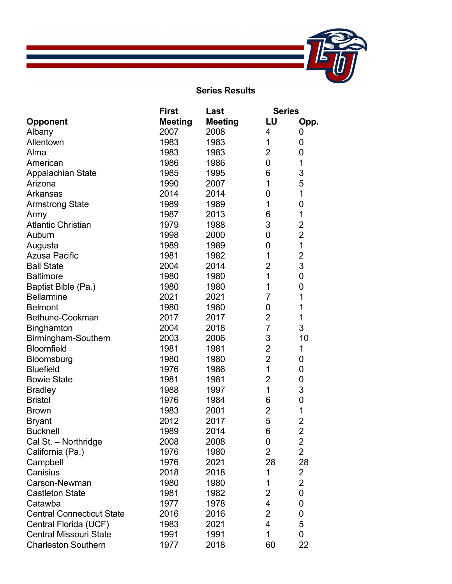

## **Series Results**

|                                  | <b>First</b>   | Last           |                | <b>Series</b>           |  |
|----------------------------------|----------------|----------------|----------------|-------------------------|--|
| <b>Opponent</b>                  | <b>Meeting</b> | <b>Meeting</b> | LU             | Opp.                    |  |
| Albany                           | 2007           | 2008           | 4              | 0                       |  |
| Allentown                        | 1983           | 1983           | 1              | 0                       |  |
| Alma                             | 1983           | 1983           | $\overline{2}$ | $\mathbf 0$             |  |
| American                         | 1986           | 1986           | 0              | 1                       |  |
| Appalachian State                | 1985           | 1995           | 6              | 3                       |  |
| Arizona                          | 1990           | 2007           | 1              | 5                       |  |
| Arkansas                         | 2014           | 2014           | 0              | 1                       |  |
| <b>Armstrong State</b>           | 1989           | 1989           | 1              | 0                       |  |
| Army                             | 1987           | 2013           | 6              | 1                       |  |
| <b>Atlantic Christian</b>        | 1979           | 1988           | 3              | $\overline{2}$          |  |
| Auburn                           | 1998           | 2000           | 0              | $\overline{2}$          |  |
| Augusta                          | 1989           | 1989           | 0              | $\overline{1}$          |  |
| <b>Azusa Pacific</b>             | 1981           | 1982           | 1              | $\overline{2}$          |  |
| <b>Ball State</b>                | 2004           | 2014           | $\overline{2}$ | 3                       |  |
| <b>Baltimore</b>                 | 1980           | 1980           | $\overline{1}$ | $\mathbf 0$             |  |
| Baptist Bible (Pa.)              | 1980           | 1980           | 1              | $\mathbf 0$             |  |
| <b>Bellarmine</b>                | 2021           | 2021           | 7              | 1                       |  |
| <b>Belmont</b>                   | 1980           | 1980           | 0              | 1                       |  |
| Bethune-Cookman                  | 2017           | 2017           | $\overline{2}$ | 1                       |  |
| <b>Binghamton</b>                | 2004           | 2018           | 7              | 3                       |  |
| Birmingham-Southern              | 2003           | 2006           | 3              | 10                      |  |
| <b>Bloomfield</b>                | 1981           | 1981           | $\overline{2}$ | 1                       |  |
| Bloomsburg                       | 1980           | 1980           | $\overline{2}$ | 0                       |  |
| <b>Bluefield</b>                 | 1976           | 1986           | $\overline{1}$ | 0                       |  |
| <b>Bowie State</b>               | 1981           | 1981           | $\overline{2}$ | 0                       |  |
| <b>Bradley</b>                   | 1988           | 1997           | 1              | 3                       |  |
| <b>Bristol</b>                   | 1976           | 1984           | 6              | $\mathbf 0$             |  |
| <b>Brown</b>                     | 1983           | 2001           | $\overline{2}$ | 1                       |  |
| <b>Bryant</b>                    | 2012           | 2017           | 5              | $\overline{\mathbf{c}}$ |  |
| <b>Bucknell</b>                  | 1989           | 2014           | 6              | $\overline{2}$          |  |
| Cal St. - Northridge             | 2008           | 2008           | 0              | 2                       |  |
| California (Pa.)                 | 1976           | 1980           | $\overline{2}$ | $\overline{c}$          |  |
| Campbell                         | 1976           | 2021           | 28             | 28                      |  |
| Canisius                         | 2018           | 2018           | 1              | $\overline{c}$          |  |
| Carson-Newman                    | 1980           | 1980           | 1              | $\overline{2}$          |  |
| <b>Castleton State</b>           | 1981           | 1982           | $\overline{2}$ | $\mathbf 0$             |  |
| Catawba                          | 1977           | 1978           | 4              | 0                       |  |
| <b>Central Connecticut State</b> | 2016           | 2016           | $\overline{2}$ | 0                       |  |
| Central Florida (UCF)            | 1983           | 2021           | 4              | 5                       |  |
| <b>Central Missouri State</b>    | 1991           | 1991           | 1              | 0                       |  |
| <b>Charleston Southern</b>       | 1977           | 2018           | 60             | 22                      |  |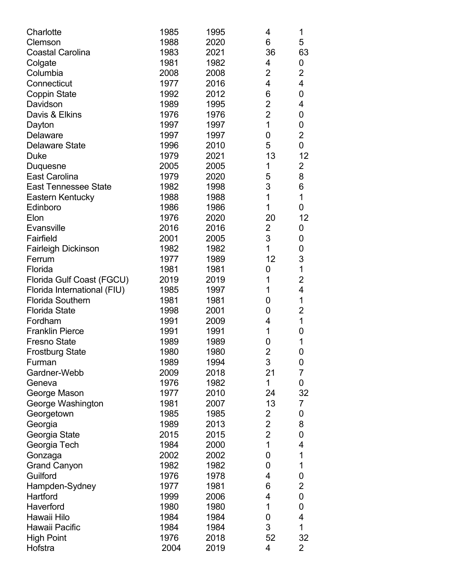| Charlotte                       | 1985 | 1995 | 4              | 1                       |
|---------------------------------|------|------|----------------|-------------------------|
| Clemson                         | 1988 | 2020 | 6              | 5                       |
| <b>Coastal Carolina</b>         | 1983 | 2021 | 36             | 63                      |
| Colgate                         | 1981 | 1982 | 4              | 0                       |
| Columbia                        | 2008 | 2008 | $\overline{2}$ | $\overline{2}$          |
| Connecticut                     | 1977 | 2016 | 4              | $\overline{\mathbf{4}}$ |
| <b>Coppin State</b>             | 1992 | 2012 | 6              | 0                       |
| Davidson                        | 1989 | 1995 | $\overline{2}$ | $\overline{\mathbf{4}}$ |
| Davis & Elkins                  | 1976 | 1976 | $\overline{2}$ | $\mathbf 0$             |
| Dayton                          | 1997 | 1997 | 1              | $\mathbf 0$             |
| <b>Delaware</b>                 | 1997 | 1997 | 0              | $\overline{2}$          |
| <b>Delaware State</b>           | 1996 | 2010 | 5              | $\mathbf 0$             |
| <b>Duke</b>                     | 1979 | 2021 | 13             | 12                      |
| Duquesne                        | 2005 | 2005 | 1              | $\overline{2}$          |
| <b>East Carolina</b>            | 1979 | 2020 | 5              | 8                       |
| <b>East Tennessee State</b>     | 1982 | 1998 | 3              | $\,6$                   |
| Eastern Kentucky                | 1988 | 1988 | 1              | $\mathbf 1$             |
| Edinboro                        | 1986 | 1986 | 1              | $\mathbf 0$             |
| Elon                            | 1976 | 2020 | 20             | 12                      |
| Evansville                      | 2016 | 2016 | $\overline{2}$ | 0                       |
| Fairfield                       | 2001 | 2005 | 3              | 0                       |
| <b>Fairleigh Dickinson</b>      | 1982 | 1982 | 1              | 0                       |
| Ferrum                          | 1977 | 1989 | 12             | 3                       |
| Florida                         | 1981 | 1981 | 0              | $\overline{1}$          |
| Florida Gulf Coast (FGCU)       | 2019 | 2019 | 1              | $\overline{2}$          |
| Florida International (FIU)     | 1985 | 1997 | 1              | $\overline{\mathbf{4}}$ |
| <b>Florida Southern</b>         | 1981 | 1981 | 0              | 1                       |
| <b>Florida State</b>            | 1998 | 2001 | 0              | $\overline{c}$          |
| Fordham                         | 1991 | 2009 | 4              | $\overline{1}$          |
| <b>Franklin Pierce</b>          | 1991 | 1991 | 1              | 0                       |
| <b>Fresno State</b>             | 1989 | 1989 | 0              | 1                       |
| <b>Frostburg State</b>          | 1980 | 1980 | $\overline{2}$ | 0                       |
| Furman                          | 1989 | 1994 | 3              | 0                       |
| Gardner-Webb                    | 2009 | 2018 | 21             | $\overline{7}$          |
| Geneva                          | 1976 | 1982 | 1              | 0                       |
| George Mason                    | 1977 | 2010 | 24             | 32                      |
| George Washington               | 1981 | 2007 | 13             | 7                       |
|                                 | 1985 | 1985 | $\overline{2}$ | 0                       |
| Georgetown                      | 1989 | 2013 | $\overline{2}$ | 8                       |
| Georgia<br>Georgia State        | 2015 | 2015 | $\overline{2}$ | 0                       |
|                                 | 1984 | 2000 | 1              | $\overline{\mathbf{4}}$ |
| Georgia Tech<br>Gonzaga         | 2002 | 2002 | 0              | 1                       |
|                                 | 1982 | 1982 | 0              | 1                       |
| <b>Grand Canyon</b><br>Guilford | 1976 | 1978 | 4              |                         |
|                                 |      |      | 6              | 0<br>$\overline{2}$     |
| Hampden-Sydney                  | 1977 | 1981 |                |                         |
| Hartford                        | 1999 | 2006 | 4              | $\boldsymbol{0}$        |
| Haverford                       | 1980 | 1980 | 1              | 0                       |
| Hawaii Hilo                     | 1984 | 1984 | 0              | $\overline{\mathbf{4}}$ |
| Hawaii Pacific                  | 1984 | 1984 | 3              | 1                       |
| <b>High Point</b>               | 1976 | 2018 | 52             | 32                      |
| Hofstra                         | 2004 | 2019 | 4              | 2                       |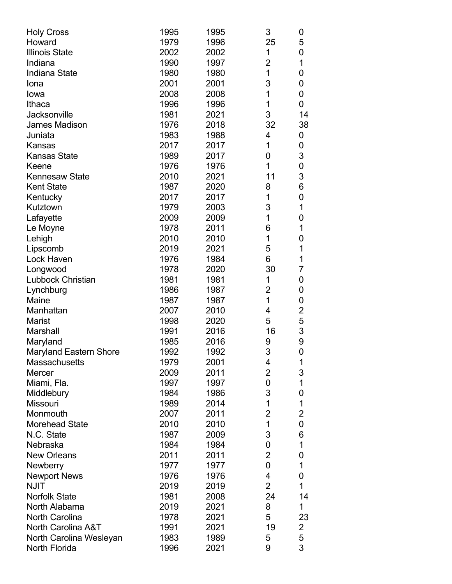| <b>Holy Cross</b>             | 1995 | 1995 | 3                       | 0                       |
|-------------------------------|------|------|-------------------------|-------------------------|
| Howard                        | 1979 | 1996 | 25                      | 5                       |
| <b>Illinois State</b>         | 2002 | 2002 | 1                       | 0                       |
| Indiana                       | 1990 | 1997 | $\overline{2}$          | 1                       |
| <b>Indiana State</b>          | 1980 | 1980 | 1                       | 0                       |
| Iona                          | 2001 | 2001 | 3                       | 0                       |
| Iowa                          | 2008 | 2008 | 1                       | 0                       |
| Ithaca                        | 1996 | 1996 | 1                       | 0                       |
| Jacksonville                  | 1981 | 2021 | 3                       | 14                      |
| James Madison                 | 1976 | 2018 | 32                      | 38                      |
| Juniata                       | 1983 | 1988 | 4                       | 0                       |
| Kansas                        | 2017 | 2017 | 1                       | 0                       |
| <b>Kansas State</b>           | 1989 | 2017 | 0                       | 3                       |
| Keene                         | 1976 | 1976 | 1                       | 0                       |
| <b>Kennesaw State</b>         | 2010 | 2021 | 11                      | 3                       |
| <b>Kent State</b>             | 1987 | 2020 | 8                       | 6                       |
| Kentucky                      | 2017 | 2017 | 1                       | 0                       |
| Kutztown                      | 1979 | 2003 | 3                       | 1                       |
| Lafayette                     | 2009 | 2009 | 1                       | 0                       |
| Le Moyne                      | 1978 | 2011 | 6                       | 1                       |
| Lehigh                        | 2010 | 2010 | 1                       | 0                       |
| Lipscomb                      | 2019 | 2021 | 5                       | 1                       |
| Lock Haven                    | 1976 | 1984 | 6                       | 1                       |
| Longwood                      | 1978 | 2020 | 30                      | 7                       |
| <b>Lubbock Christian</b>      | 1981 | 1981 | 1                       | 0                       |
| Lynchburg                     | 1986 | 1987 | $\overline{2}$          | 0                       |
| Maine                         | 1987 | 1987 | 1                       | 0                       |
| Manhattan                     | 2007 | 2010 | 4                       | $\overline{\mathbf{c}}$ |
| <b>Marist</b>                 | 1998 | 2020 | 5                       | 5                       |
| Marshall                      | 1991 | 2016 | 16                      | 3                       |
| Maryland                      | 1985 | 2016 | 9                       | 9                       |
| <b>Maryland Eastern Shore</b> | 1992 | 1992 | 3                       | 0                       |
| <b>Massachusetts</b>          | 1979 | 2001 | 4                       | 1                       |
| <b>Mercer</b>                 | 2009 | 2011 | $\overline{2}$          | 3                       |
| Miami, Fla.                   | 1997 | 1997 | 0                       | 1                       |
| Middlebury                    | 1984 | 1986 | 3                       | 0                       |
| <b>Missouri</b>               | 1989 | 2014 | 1                       | 1                       |
| Monmouth                      | 2007 | 2011 | $\overline{2}$          | $\overline{2}$          |
| <b>Morehead State</b>         | 2010 | 2010 | 1                       | 0                       |
| N.C. State                    | 1987 | 2009 | 3                       | 6                       |
| Nebraska                      | 1984 | 1984 | 0                       | 1                       |
| <b>New Orleans</b>            | 2011 | 2011 | $\overline{2}$          | 0                       |
| Newberry                      | 1977 | 1977 | 0                       | 1                       |
| <b>Newport News</b>           | 1976 | 1976 | $\overline{\mathbf{4}}$ | 0                       |
| <b>NJIT</b>                   | 2019 | 2019 | $\overline{2}$          | 1                       |
| <b>Norfolk State</b>          | 1981 | 2008 | 24                      | 14                      |
| North Alabama                 | 2019 | 2021 | 8                       | 1                       |
| <b>North Carolina</b>         | 1978 | 2021 | 5                       | 23                      |
| North Carolina A&T            | 1991 | 2021 | 19                      |                         |
| North Carolina Wesleyan       | 1983 | 1989 | 5                       | $\overline{c}$<br>5     |
| North Florida                 | 1996 | 2021 | 9                       | 3                       |
|                               |      |      |                         |                         |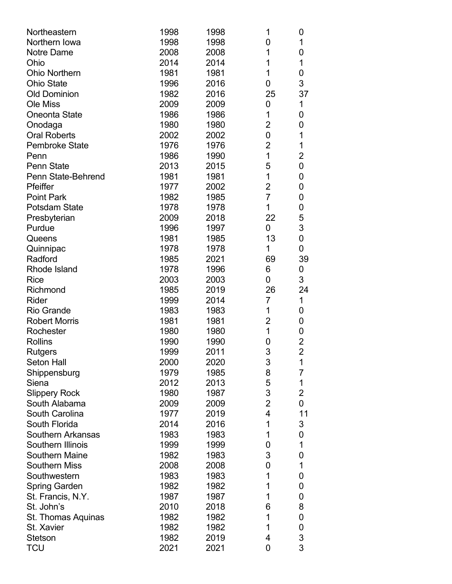| Northeastern             | 1998 | 1998 | 1                       | 0              |
|--------------------------|------|------|-------------------------|----------------|
| Northern Iowa            | 1998 | 1998 | 0                       | 1              |
| Notre Dame               | 2008 | 2008 | 1                       | 0              |
| Ohio                     | 2014 | 2014 | 1                       | 1              |
| <b>Ohio Northern</b>     | 1981 | 1981 | 1                       | 0              |
| <b>Ohio State</b>        | 1996 | 2016 | 0                       | 3              |
| <b>Old Dominion</b>      | 1982 | 2016 | 25                      | 37             |
| <b>Ole Miss</b>          | 2009 | 2009 | 0                       | 1              |
| <b>Oneonta State</b>     | 1986 | 1986 | 1                       | 0              |
| Onodaga                  | 1980 | 1980 | $\overline{2}$          | 0              |
| <b>Oral Roberts</b>      | 2002 | 2002 | 0                       | 1              |
| <b>Pembroke State</b>    | 1976 | 1976 | $\overline{2}$          | 1              |
| Penn                     | 1986 | 1990 | 1                       | 2              |
| <b>Penn State</b>        | 2013 | 2015 | 5                       | 0              |
| Penn State-Behrend       | 1981 | 1981 | 1                       | 0              |
| Pfeiffer                 | 1977 | 2002 | $\overline{2}$          | 0              |
| <b>Point Park</b>        | 1982 | 1985 | $\overline{7}$          | 0              |
| <b>Potsdam State</b>     | 1978 | 1978 | 1                       | 0              |
| Presbyterian             | 2009 | 2018 | 22                      | 5              |
| Purdue                   | 1996 | 1997 | 0                       | 3              |
| Queens                   | 1981 | 1985 | 13                      | 0              |
| Quinnipac                | 1978 | 1978 | 1                       | 0              |
| Radford                  | 1985 | 2021 | 69                      | 39             |
| Rhode Island             | 1978 | 1996 | 6                       | 0              |
| <b>Rice</b>              | 2003 | 2003 | 0                       | 3              |
| Richmond                 | 1985 | 2019 | 26                      | 24             |
| Rider                    | 1999 | 2014 | $\overline{7}$          | 1              |
| <b>Rio Grande</b>        | 1983 | 1983 | 1                       | 0              |
| <b>Robert Morris</b>     | 1981 | 1981 | $\overline{2}$          | 0              |
| Rochester                | 1980 | 1980 | 1                       | 0              |
| <b>Rollins</b>           | 1990 | 1990 | 0                       | 2              |
| <b>Rutgers</b>           | 1999 | 2011 | 3                       | $\overline{2}$ |
| <b>Seton Hall</b>        | 2000 | 2020 | 3                       | 1              |
| Shippensburg             | 1979 | 1985 | 8                       | $\overline{7}$ |
| Siena                    | 2012 | 2013 | 5                       | 1              |
| <b>Slippery Rock</b>     | 1980 | 1987 | 3                       | $\overline{2}$ |
| South Alabama            | 2009 | 2009 | $\overline{2}$          | 0              |
| South Carolina           | 1977 | 2019 | $\overline{\mathbf{4}}$ | 11             |
| South Florida            | 2014 | 2016 | 1                       | 3              |
| <b>Southern Arkansas</b> | 1983 | 1983 | 1                       | 0              |
| Southern Illinois        | 1999 | 1999 | 0                       | 1              |
| <b>Southern Maine</b>    | 1982 | 1983 | 3                       | 0              |
| <b>Southern Miss</b>     | 2008 | 2008 | 0                       | 1              |
| Southwestern             | 1983 | 1983 | 1                       | 0              |
| Spring Garden            | 1982 | 1982 | 1                       | 0              |
| St. Francis, N.Y.        | 1987 | 1987 | 1                       |                |
|                          |      |      |                         | 0              |
| St. John's               | 2010 | 2018 | 6<br>1                  | 8              |
| St. Thomas Aquinas       | 1982 | 1982 | 1                       | 0              |
| St. Xavier               | 1982 | 1982 |                         | 0              |
| <b>Stetson</b>           | 1982 | 2019 | 4                       | 3              |
| <b>TCU</b>               | 2021 | 2021 | 0                       | 3              |